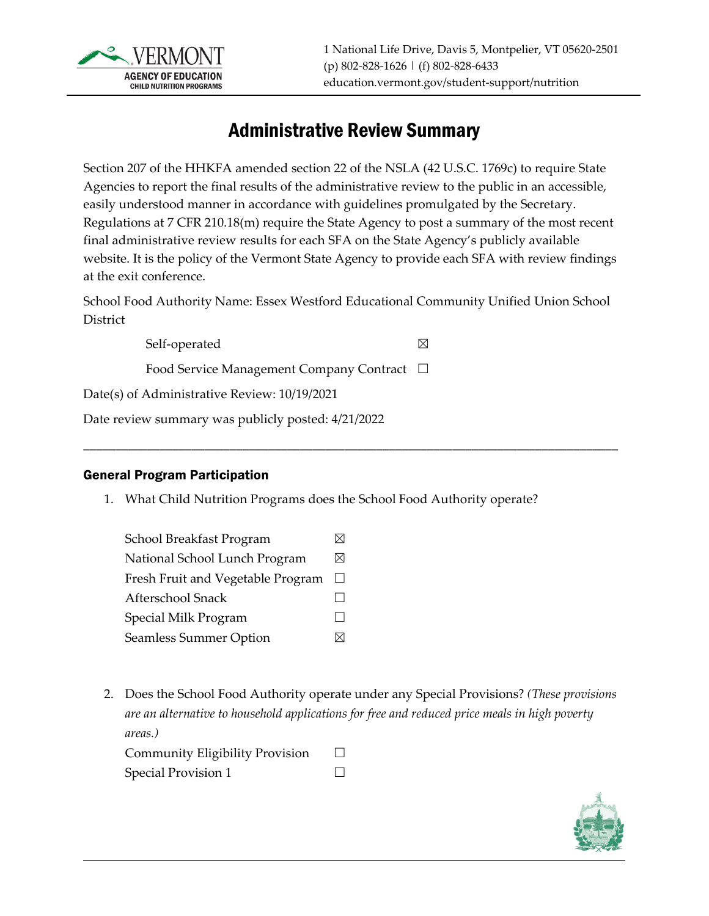

# Administrative Review Summary

Section 207 of the HHKFA amended section 22 of the NSLA (42 U.S.C. 1769c) to require State Agencies to report the final results of the administrative review to the public in an accessible, easily understood manner in accordance with guidelines promulgated by the Secretary. Regulations at 7 CFR 210.18(m) require the State Agency to post a summary of the most recent final administrative review results for each SFA on the State Agency's publicly available website. It is the policy of the Vermont State Agency to provide each SFA with review findings at the exit conference.

School Food Authority Name: Essex Westford Educational Community Unified Union School District

\_\_\_\_\_\_\_\_\_\_\_\_\_\_\_\_\_\_\_\_\_\_\_\_\_\_\_\_\_\_\_\_\_\_\_\_\_\_\_\_\_\_\_\_\_\_\_\_\_\_\_\_\_\_\_\_\_\_\_\_\_\_\_\_\_\_\_\_\_\_\_\_\_\_\_\_\_\_\_\_\_\_\_\_

Self-operated  $\boxtimes$ 

Food Service Management Company Contract ☐

Date(s) of Administrative Review: 10/19/2021

Date review summary was publicly posted: 4/21/2022

### General Program Participation

1. What Child Nutrition Programs does the School Food Authority operate?

| School Breakfast Program          |        |
|-----------------------------------|--------|
| National School Lunch Program     | ⋈      |
| Fresh Fruit and Vegetable Program | $\Box$ |
| Afterschool Snack                 |        |
| Special Milk Program              |        |
| Seamless Summer Option            |        |
|                                   |        |

2. Does the School Food Authority operate under any Special Provisions? *(These provisions are an alternative to household applications for free and reduced price meals in high poverty areas.)* Community Eligibility Provision  $\Box$ 

| Special Provision 1 |  |  |
|---------------------|--|--|

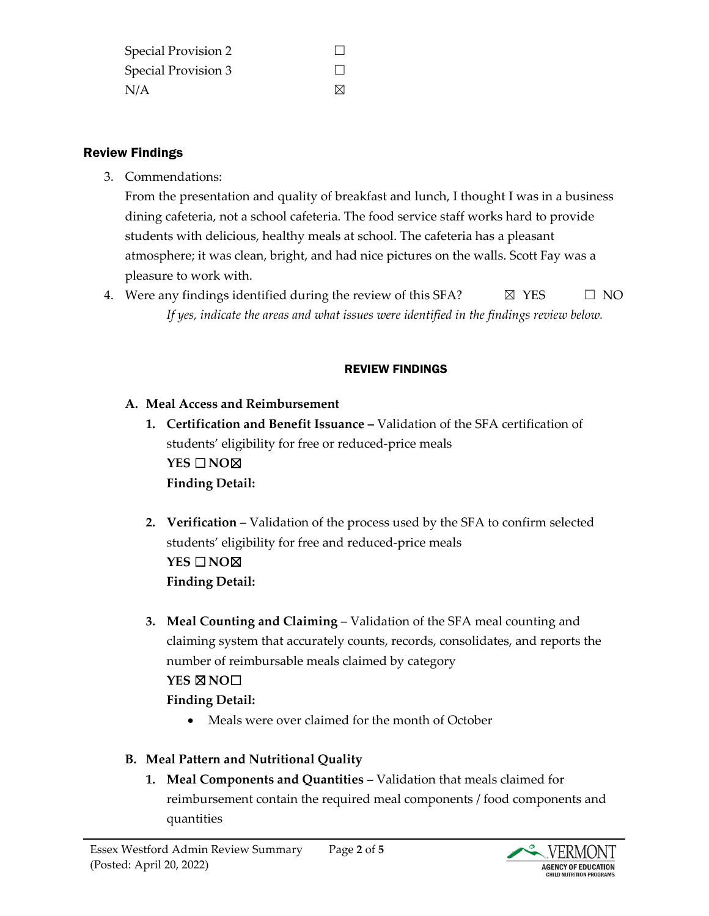| Special Provision 2 |             |
|---------------------|-------------|
| Special Provision 3 |             |
| N/A                 | $\boxtimes$ |

### Review Findings

3. Commendations:

From the presentation and quality of breakfast and lunch, I thought I was in a business dining cafeteria, not a school cafeteria. The food service staff works hard to provide students with delicious, healthy meals at school. The cafeteria has a pleasant atmosphere; it was clean, bright, and had nice pictures on the walls. Scott Fay was a pleasure to work with.

4. Were any findings identified during the review of this SFA?  $\boxtimes$  YES  $\Box$  NO *If yes, indicate the areas and what issues were identified in the findings review below.*

### REVIEW FINDINGS

- **A. Meal Access and Reimbursement**
	- **1. Certification and Benefit Issuance –** Validation of the SFA certification of students' eligibility for free or reduced-price meals **YES** ☐**NO**☒ **Finding Detail:**
	- **2. Verification –** Validation of the process used by the SFA to confirm selected students' eligibility for free and reduced-price meals **YES** ☐**NO**☒ **Finding Detail:**
	- **3. Meal Counting and Claiming**  Validation of the SFA meal counting and claiming system that accurately counts, records, consolidates, and reports the number of reimbursable meals claimed by category

# **YES** ☒**NO**☐

# **Finding Detail:**

• Meals were over claimed for the month of October

# **B. Meal Pattern and Nutritional Quality**

**1. Meal Components and Quantities –** Validation that meals claimed for reimbursement contain the required meal components / food components and quantities

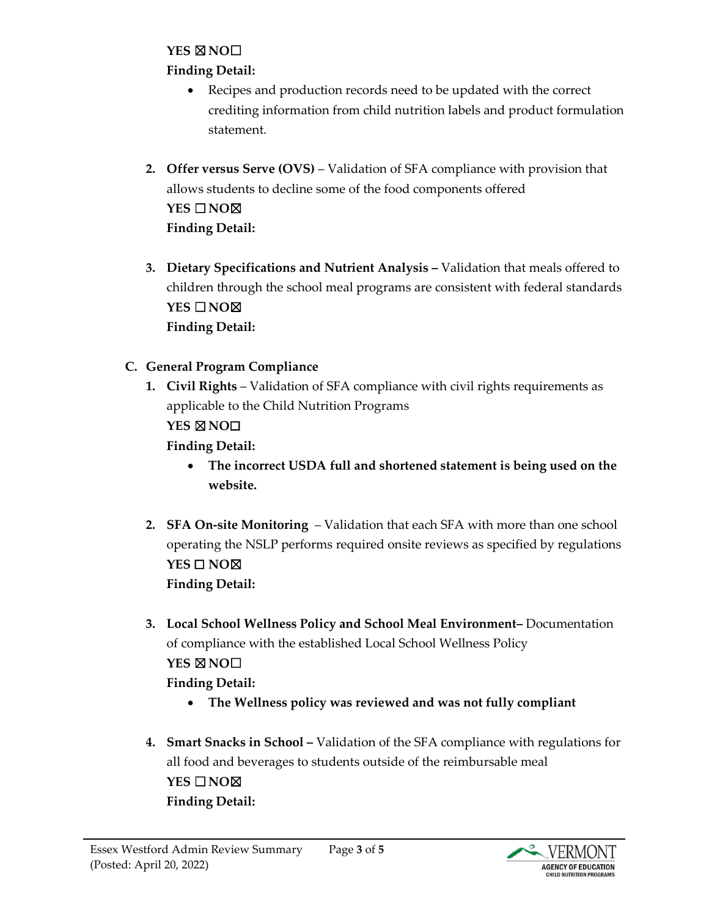#### **YES** ☒**NO**☐

### **Finding Detail:**

- Recipes and production records need to be updated with the correct crediting information from child nutrition labels and product formulation statement.
- **2. Offer versus Serve (OVS)** Validation of SFA compliance with provision that allows students to decline some of the food components offered **YES** ☐**NO**☒ **Finding Detail:**
- **3. Dietary Specifications and Nutrient Analysis –** Validation that meals offered to children through the school meal programs are consistent with federal standards **YES** ☐**NO**☒ **Finding Detail:**
- **C. General Program Compliance**
	- **1. Civil Rights** Validation of SFA compliance with civil rights requirements as applicable to the Child Nutrition Programs **YES** ☒**NO**☐ **Finding Detail:**
		- **The incorrect USDA full and shortened statement is being used on the website.**
	- **2. SFA On-site Monitoring**  Validation that each SFA with more than one school operating the NSLP performs required onsite reviews as specified by regulations **YES** ☐ **NO**☒ **Finding Detail:**
	- **3. Local School Wellness Policy and School Meal Environment–** Documentation of compliance with the established Local School Wellness Policy **YES** ☒**NO**☐ **Finding Detail:**
		- **The Wellness policy was reviewed and was not fully compliant**
	- **4. Smart Snacks in School –** Validation of the SFA compliance with regulations for all food and beverages to students outside of the reimbursable meal **YES** ☐**NO**☒ **Finding Detail:**

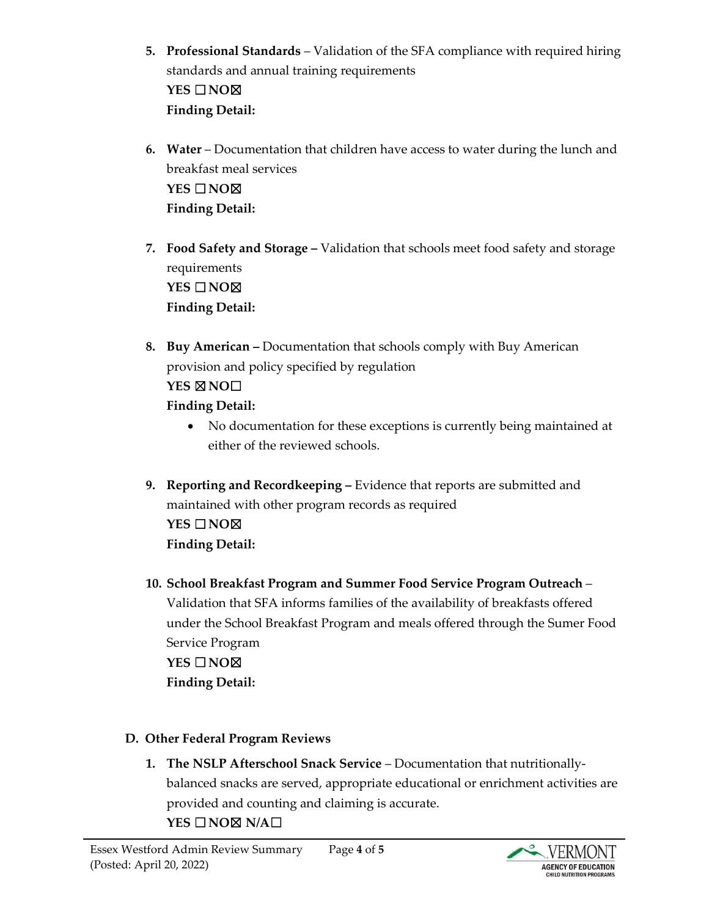- **5. Professional Standards** Validation of the SFA compliance with required hiring standards and annual training requirements **YES** ☐**NO**☒ **Finding Detail:**
- **6. Water** Documentation that children have access to water during the lunch and breakfast meal services **YES** ☐**NO**☒ **Finding Detail:**
- **7. Food Safety and Storage –** Validation that schools meet food safety and storage requirements **YES** ☐**NO**☒ **Finding Detail:**
- **8. Buy American –** Documentation that schools comply with Buy American provision and policy specified by regulation **YES** ☒**NO**☐ **Finding Detail:** 
	- No documentation for these exceptions is currently being maintained at either of the reviewed schools.
- **9. Reporting and Recordkeeping –** Evidence that reports are submitted and maintained with other program records as required **YES** ☐**NO**☒ **Finding Detail:**
- **10. School Breakfast Program and Summer Food Service Program Outreach**  Validation that SFA informs families of the availability of breakfasts offered under the School Breakfast Program and meals offered through the Sumer Food Service Program **YES** ☐**NO**☒ **Finding Detail:**
- **D. Other Federal Program Reviews**
	- **1. The NSLP Afterschool Snack Service** Documentation that nutritionallybalanced snacks are served, appropriate educational or enrichment activities are provided and counting and claiming is accurate. **YES** ☐**NO**☒ **N/A**☐